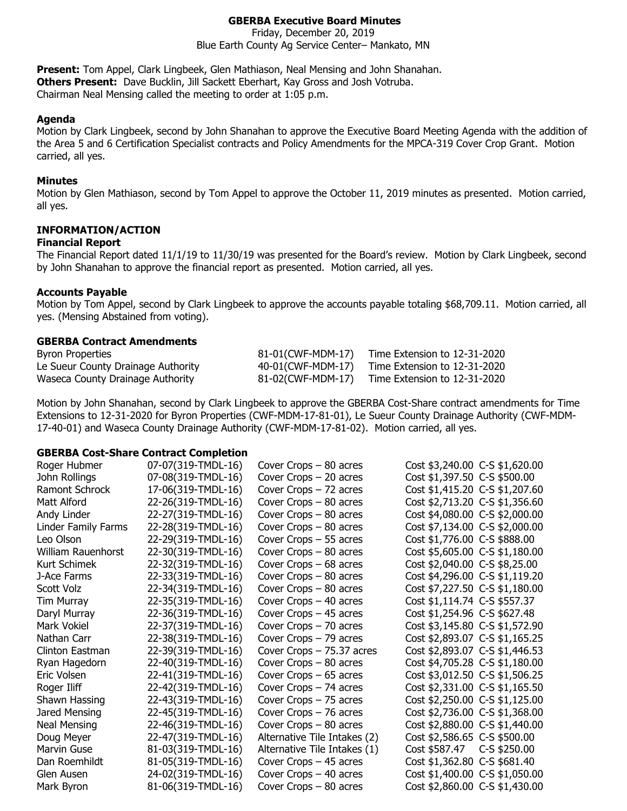# **GBERBA Executive Board Minutes**

Friday, December 20, 2019 Blue Earth County Ag Service Center– Mankato, MN

**Present:** Tom Appel, Clark Lingbeek, Glen Mathiason, Neal Mensing and John Shanahan. **Others Present:** Dave Bucklin, Jill Sackett Eberhart, Kay Gross and Josh Votruba. Chairman Neal Mensing called the meeting to order at 1:05 p.m.

#### **Agenda**

Motion by Clark Lingbeek, second by John Shanahan to approve the Executive Board Meeting Agenda with the addition of the Area 5 and 6 Certification Specialist contracts and Policy Amendments for the MPCA-319 Cover Crop Grant. Motion carried, all yes.

#### **Minutes**

Motion by Glen Mathiason, second by Tom Appel to approve the October 11, 2019 minutes as presented. Motion carried, all yes.

### **INFORMATION/ACTION**

#### **Financial Report**

The Financial Report dated 11/1/19 to 11/30/19 was presented for the Board's review. Motion by Clark Lingbeek, second by John Shanahan to approve the financial report as presented. Motion carried, all yes.

#### **Accounts Payable**

Motion by Tom Appel, second by Clark Lingbeek to approve the accounts payable totaling \$68,709.11. Motion carried, all yes. (Mensing Abstained from voting).

#### **GBERBA Contract Amendments**

| <b>Byron Properties</b>            | 81-01(CWF-MDM-17) | Time Extension to 12-31-2020 |
|------------------------------------|-------------------|------------------------------|
| Le Sueur County Drainage Authority | 40-01(CWF-MDM-17) | Time Extension to 12-31-2020 |
| Waseca County Drainage Authority   | 81-02(CWF-MDM-17) | Time Extension to 12-31-2020 |

Motion by John Shanahan, second by Clark Lingbeek to approve the GBERBA Cost-Share contract amendments for Time Extensions to 12-31-2020 for Byron Properties (CWF-MDM-17-81-01), Le Sueur County Drainage Authority (CWF-MDM-17-40-01) and Waseca County Drainage Authority (CWF-MDM-17-81-02). Motion carried, all yes.

#### **GBERBA Cost-Share Contract Completion**

| Roger Hubmer        | 07-07(319-TMDL-16) | Cover Crops $-80$ acres      | Cost \$3,240.00 C-S \$1,620.00 |
|---------------------|--------------------|------------------------------|--------------------------------|
| John Rollings       | 07-08(319-TMDL-16) | Cover Crops $-20$ acres      | Cost \$1,397.50 C-S \$500.00   |
| Ramont Schrock      | 17-06(319-TMDL-16) | Cover Crops $-72$ acres      | Cost \$1,415.20 C-S \$1,207.60 |
| Matt Alford         | 22-26(319-TMDL-16) | Cover Crops $-80$ acres      | Cost \$2,713.20 C-S \$1,356.60 |
| Andy Linder         | 22-27(319-TMDL-16) | Cover Crops $-80$ acres      | Cost \$4,080.00 C-S \$2,000.00 |
| Linder Family Farms | 22-28(319-TMDL-16) | Cover Crops $-80$ acres      | Cost \$7,134.00 C-S \$2,000.00 |
| Leo Olson           | 22-29(319-TMDL-16) | Cover Crops $-55$ acres      | Cost \$1,776.00 C-S \$888.00   |
| William Rauenhorst  | 22-30(319-TMDL-16) | Cover Crops $-80$ acres      | Cost \$5,605.00 C-S \$1,180.00 |
| Kurt Schimek        | 22-32(319-TMDL-16) | Cover Crops $-68$ acres      | Cost \$2,040.00 C-S \$8,25.00  |
| J-Ace Farms         | 22-33(319-TMDL-16) | Cover Crops $-80$ acres      | Cost \$4,296.00 C-S \$1,119.20 |
| Scott Volz          | 22-34(319-TMDL-16) | Cover Crops $-80$ acres      | Cost \$7,227.50 C-S \$1,180.00 |
| Tim Murray          | 22-35(319-TMDL-16) | Cover Crops $-40$ acres      | Cost \$1,114.74 C-S \$557.37   |
| Daryl Murray        | 22-36(319-TMDL-16) | Cover Crops $-45$ acres      | Cost \$1,254.96 C-S \$627.48   |
| Mark Vokiel         | 22-37(319-TMDL-16) | Cover Crops $-70$ acres      | Cost \$3,145.80 C-S \$1,572.90 |
| Nathan Carr         | 22-38(319-TMDL-16) | Cover Crops $-79$ acres      | Cost \$2,893.07 C-S \$1,165.25 |
| Clinton Eastman     | 22-39(319-TMDL-16) | Cover Crops $-75.37$ acres   | Cost \$2,893.07 C-S \$1,446.53 |
| Ryan Hagedorn       | 22-40(319-TMDL-16) | Cover Crops $-80$ acres      | Cost \$4,705.28 C-S \$1,180.00 |
| Eric Volsen         | 22-41(319-TMDL-16) | Cover Crops $-65$ acres      | Cost \$3,012.50 C-S \$1,506.25 |
| Roger Iliff         | 22-42(319-TMDL-16) | Cover Crops $-74$ acres      | Cost \$2,331.00 C-S \$1,165.50 |
| Shawn Hassing       | 22-43(319-TMDL-16) | Cover Crops $-75$ acres      | Cost \$2,250.00 C-S \$1,125.00 |
| Jared Mensing       | 22-45(319-TMDL-16) | Cover Crops $-76$ acres      | Cost \$2,736.00 C-S \$1,368.00 |
| <b>Neal Mensing</b> | 22-46(319-TMDL-16) | Cover Crops $-80$ acres      | Cost \$2,880.00 C-S \$1,440.00 |
| Doug Meyer          | 22-47(319-TMDL-16) | Alternative Tile Intakes (2) | Cost \$2,586.65 C-S \$500.00   |
| Marvin Guse         | 81-03(319-TMDL-16) | Alternative Tile Intakes (1) | Cost \$587.47<br>C-S \$250.00  |
| Dan Roemhildt       | 81-05(319-TMDL-16) | Cover Crops $-45$ acres      | Cost \$1,362.80 C-S \$681.40   |
| Glen Ausen          | 24-02(319-TMDL-16) | Cover Crops $-40$ acres      | Cost \$1,400.00 C-S \$1,050.00 |
| Mark Byron          | 81-06(319-TMDL-16) | Cover Crops $-80$ acres      | Cost \$2,860.00 C-S \$1,430.00 |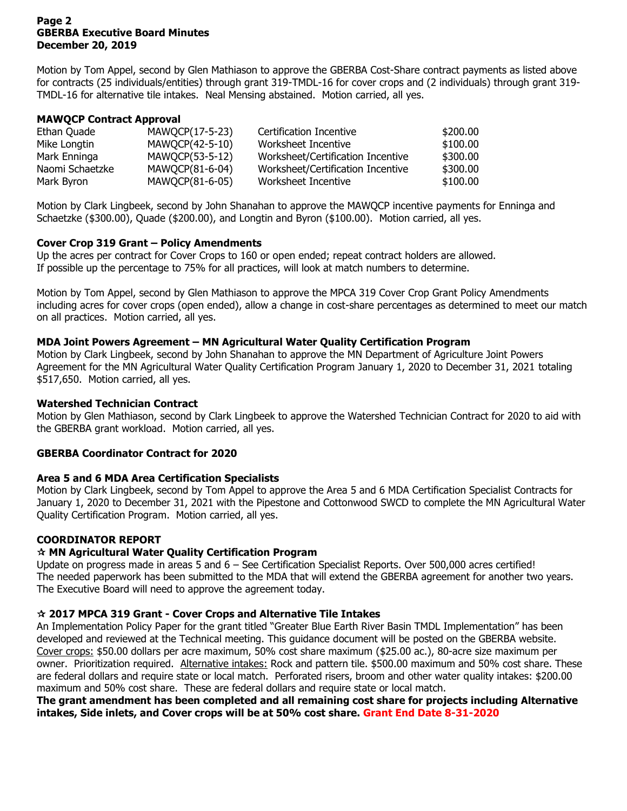### **Page 2 GBERBA Executive Board Minutes December 20, 2019**

Motion by Tom Appel, second by Glen Mathiason to approve the GBERBA Cost-Share contract payments as listed above for contracts (25 individuals/entities) through grant 319-TMDL-16 for cover crops and (2 individuals) through grant 319- TMDL-16 for alternative tile intakes. Neal Mensing abstained. Motion carried, all yes.

# **MAWQCP Contract Approval**

| Ethan Quade     | MAWQCP(17-5-23) | Certification Incentive           | \$200,00 |
|-----------------|-----------------|-----------------------------------|----------|
| Mike Longtin    | MAWQCP(42-5-10) | Worksheet Incentive               | \$100.00 |
| Mark Enninga    | MAWQCP(53-5-12) | Worksheet/Certification Incentive | \$300.00 |
| Naomi Schaetzke | MAWQCP(81-6-04) | Worksheet/Certification Incentive | \$300.00 |
| Mark Byron      | MAWQCP(81-6-05) | Worksheet Incentive               | \$100.00 |

Motion by Clark Lingbeek, second by John Shanahan to approve the MAWQCP incentive payments for Enninga and Schaetzke (\$300.00), Quade (\$200.00), and Longtin and Byron (\$100.00). Motion carried, all yes.

# **Cover Crop 319 Grant – Policy Amendments**

Up the acres per contract for Cover Crops to 160 or open ended; repeat contract holders are allowed. If possible up the percentage to 75% for all practices, will look at match numbers to determine.

Motion by Tom Appel, second by Glen Mathiason to approve the MPCA 319 Cover Crop Grant Policy Amendments including acres for cover crops (open ended), allow a change in cost-share percentages as determined to meet our match on all practices. Motion carried, all yes.

# **MDA Joint Powers Agreement – MN Agricultural Water Quality Certification Program**

Motion by Clark Lingbeek, second by John Shanahan to approve the MN Department of Agriculture Joint Powers Agreement for the MN Agricultural Water Quality Certification Program January 1, 2020 to December 31, 2021 totaling \$517,650. Motion carried, all yes.

# **Watershed Technician Contract**

Motion by Glen Mathiason, second by Clark Lingbeek to approve the Watershed Technician Contract for 2020 to aid with the GBERBA grant workload. Motion carried, all yes.

## **GBERBA Coordinator Contract for 2020**

## **Area 5 and 6 MDA Area Certification Specialists**

Motion by Clark Lingbeek, second by Tom Appel to approve the Area 5 and 6 MDA Certification Specialist Contracts for January 1, 2020 to December 31, 2021 with the Pipestone and Cottonwood SWCD to complete the MN Agricultural Water Quality Certification Program. Motion carried, all yes.

# **COORDINATOR REPORT**

# **MN Agricultural Water Quality Certification Program**

Update on progress made in areas 5 and 6 – See Certification Specialist Reports. Over 500,000 acres certified! The needed paperwork has been submitted to the MDA that will extend the GBERBA agreement for another two years. The Executive Board will need to approve the agreement today.

## **2017 MPCA 319 Grant - Cover Crops and Alternative Tile Intakes**

An Implementation Policy Paper for the grant titled "Greater Blue Earth River Basin TMDL Implementation" has been developed and reviewed at the Technical meeting. This guidance document will be posted on the GBERBA website. Cover crops: \$50.00 dollars per acre maximum, 50% cost share maximum (\$25.00 ac.), 80-acre size maximum per owner. Prioritization required. Alternative intakes: Rock and pattern tile. \$500.00 maximum and 50% cost share. These are federal dollars and require state or local match. Perforated risers, broom and other water quality intakes: \$200.00 maximum and 50% cost share. These are federal dollars and require state or local match.

**The grant amendment has been completed and all remaining cost share for projects including Alternative intakes, Side inlets, and Cover crops will be at 50% cost share. Grant End Date 8-31-2020**